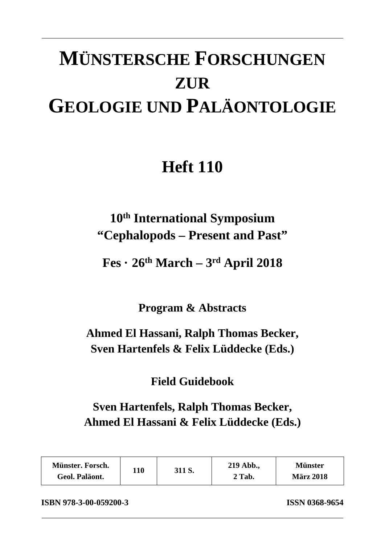# **MÜNSTERSCHE FORSCHUNGEN ZUR GEOLOGIE UND PALÄONTOLOGIE**

## **Heft 110**

### **10th International Symposium "Cephalopods – Present and Past"**

**Fes · 26th March – 3rd April 2018** 

**Program & Abstracts** 

### **Ahmed El Hassani, Ralph Thomas Becker, Sven Hartenfels & Felix Lüddecke (Eds.)**

#### **Field Guidebook**

### **Sven Hartenfels, Ralph Thomas Becker, Ahmed El Hassani & Felix Lüddecke (Eds.)**

| Münster. Forsch.<br>Geol. Paläont. | 110 | 311 S. | 219 Abb.,<br>2 Tab. | <b>Münster</b><br><b>März 2018</b> |
|------------------------------------|-----|--------|---------------------|------------------------------------|
|                                    |     |        |                     |                                    |

**ISBN 978-3-00-059200-3 ISSN 0368-9654**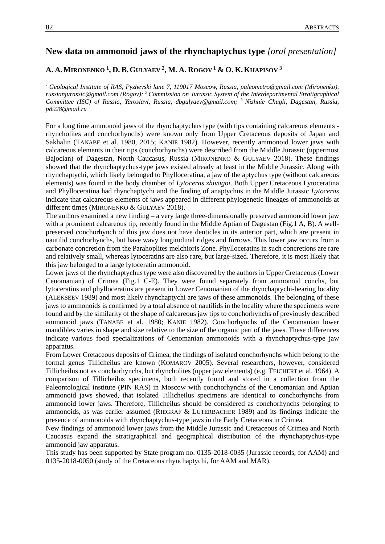#### **New data on ammonoid jaws of the rhynchaptychus type** *[oral presentation]*

#### **A. A.MIRONENKO 1 , D. B.GULYAEV 2 , M. A. ROGOV <sup>1</sup> & O. K.KHAPISOV 3**

*1 Geological Institute of RAS, Pyzhevski lane 7, 119017 Moscow, Russia, paleometro@gmail.com (Mironenko), russianjurassic@gmail.com (Rogov); 2 Commission on Jurassic System of the Interdepartmental Stratigraphical Committee (ISC) of Russia, Yaroslavl, Russia, dbgulyaev@gmail.com; 3 Nizhnie Chugli, Dagestan, Russia, p8928@mail.ru* 

For a long time ammonoid jaws of the rhynchaptychus type (with tips containing calcareous elements rhyncholites and conchorhynchs) were known only from Upper Cretaceous deposits of Japan and Sakhalin (TANABE et al. 1980, 2015; KANIE 1982). However, recently ammonoid lower jaws with calcareous elements in their tips (conchorhynchs) were described from the Middle Jurassic (uppermost Bajocian) of Dagestan, North Caucasus, Russia (MIRONENKO & GULYAEV 2018). These findings showed that the rhynchaptychus-type jaws existed already at least in the Middle Jurassic. Along with rhynchaptychi, which likely belonged to Phylloceratina, a jaw of the aptychus type (without calcareous elements) was found in the body chamber of *Lytoceras zhivagoi*. Both Upper Cretaceous Lytoceratina and Phylloceratina had rhynchaptychi and the finding of anaptychus in the Middle Jurassic *Lytoceras* indicate that calcareous elements of jaws appeared in different phylogenetic lineages of ammonoids at different times (MIRONENKO & GULYAEV 2018).

The authors examined a new finding – a very large three-dimensionally preserved ammonoid lower jaw with a prominent calcareous tip, recently found in the Middle Aptian of Dagestan (Fig.1 A, B). A wellpreserved conchorhynch of this jaw does not have denticles in its anterior part, which are present in nautilid conchorhynchs, but have wavy longitudinal ridges and furrows. This lower jaw occurs from a carbonate concretion from the Parahoplites melchioris Zone. Phylloceratins in such concretions are rare and relatively small, whereas lytoceratins are also rare, but large-sized. Therefore, it is most likely that this jaw belonged to a large lytoceratin ammonoid.

Lower jaws of the rhynchaptychus type were also discovered by the authors in Upper Cretaceous (Lower Cenomanian) of Crimea (Fig.1 C-E). They were found separately from ammonoid conchs, but lytoceratins and phylloceratins are present in Lower Cenomanian of the rhynchaptychi-bearing locality (ALEKSEEV 1989) and most likely rhynchaptychi are jaws of these ammonoids. The belonging of these jaws to ammonoids is confirmed by a total absence of nautilids in the locality where the specimens were found and by the similarity of the shape of calcareous jaw tips to conchorhynchs of previously described ammonoid jaws (TANABE et al. 1980; KANIE 1982). Conchorhynchs of the Cenomanian lower mandibles varies in shape and size relative to the size of the organic part of the jaws. These differences indicate various food specializations of Cenomanian ammonoids with a rhynchaptychus-type jaw apparatus.

From Lower Cretaceous deposits of Crimea, the findings of isolated conchorhynchs which belong to the formal genus Tillicheilus are known (KOMAROV 2005). Several researchers, however, considered Tillicheilus not as conchorhynchs, but rhyncholites (upper jaw elements) (e.g. TEICHERT et al. 1964). A comparison of Tillicheilus specimens, both recently found and stored in a collection from the Paleontological institute (PIN RAS) in Moscow with conchorhynchs of the Cenomanian and Aptian ammonoid jaws showed, that isolated Tillicheilus specimens are identical to conchorhynchs from ammonoid lower jaws. Therefore, Tillicheilus should be considered as conchorhynchs belonging to ammonoids, as was earlier assumed (RIEGRAF & LUTERBACHER 1989) and its findings indicate the presence of ammonoids with rhynchaptychus-type jaws in the Early Cretaceous in Crimea.

New findings of ammonoid lower jaws from the Middle Jurassic and Cretaceous of Crimea and North Caucasus expand the stratigraphical and geographical distribution of the rhynchaptychus-type ammonoid jaw apparatus.

This study has been supported by State program no. 0135-2018-0035 (Jurassic records, for AAM) and 0135-2018-0050 (study of the Cretaceous rhynchaptychi, for AAM and MAR).